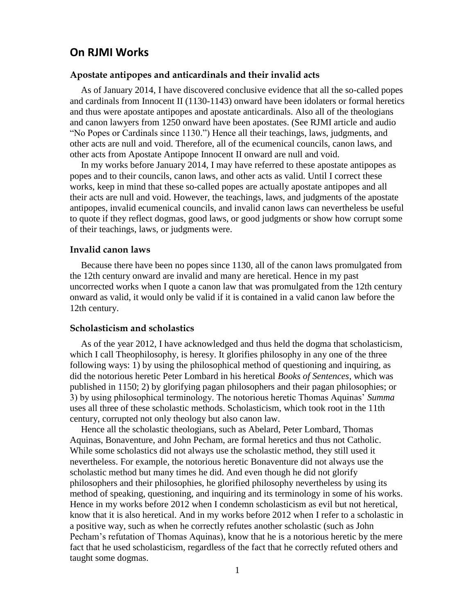# **On RJMI Works**

## **Apostate antipopes and anticardinals and their invalid acts**

As of January 2014, I have discovered conclusive evidence that all the so-called popes and cardinals from Innocent II (1130-1143) onward have been idolaters or formal heretics and thus were apostate antipopes and apostate anticardinals. Also all of the theologians and canon lawyers from 1250 onward have been apostates. (See RJMI article and audio "No Popes or Cardinals since 1130.") Hence all their teachings, laws, judgments, and other acts are null and void. Therefore, all of the ecumenical councils, canon laws, and other acts from Apostate Antipope Innocent II onward are null and void.

In my works before January 2014, I may have referred to these apostate antipopes as popes and to their councils, canon laws, and other acts as valid. Until I correct these works, keep in mind that these so-called popes are actually apostate antipopes and all their acts are null and void. However, the teachings, laws, and judgments of the apostate antipopes, invalid ecumenical councils, and invalid canon laws can nevertheless be useful to quote if they reflect dogmas, good laws, or good judgments or show how corrupt some of their teachings, laws, or judgments were.

### **Invalid canon laws**

Because there have been no popes since 1130, all of the canon laws promulgated from the 12th century onward are invalid and many are heretical. Hence in my past uncorrected works when I quote a canon law that was promulgated from the 12th century onward as valid, it would only be valid if it is contained in a valid canon law before the 12th century.

# **Scholasticism and scholastics**

As of the year 2012, I have acknowledged and thus held the dogma that scholasticism, which I call Theophilosophy, is heresy. It glorifies philosophy in any one of the three following ways: 1) by using the philosophical method of questioning and inquiring, as did the notorious heretic Peter Lombard in his heretical *Books of Sentences*, which was published in 1150; 2) by glorifying pagan philosophers and their pagan philosophies; or 3) by using philosophical terminology. The notorious heretic Thomas Aquinas' *Summa*  uses all three of these scholastic methods. Scholasticism, which took root in the 11th century, corrupted not only theology but also canon law.

Hence all the scholastic theologians, such as Abelard, Peter Lombard, Thomas Aquinas, Bonaventure, and John Pecham, are formal heretics and thus not Catholic. While some scholastics did not always use the scholastic method, they still used it nevertheless. For example, the notorious heretic Bonaventure did not always use the scholastic method but many times he did. And even though he did not glorify philosophers and their philosophies, he glorified philosophy nevertheless by using its method of speaking, questioning, and inquiring and its terminology in some of his works. Hence in my works before 2012 when I condemn scholasticism as evil but not heretical, know that it is also heretical. And in my works before 2012 when I refer to a scholastic in a positive way, such as when he correctly refutes another scholastic (such as John Pecham's refutation of Thomas Aquinas), know that he is a notorious heretic by the mere fact that he used scholasticism, regardless of the fact that he correctly refuted others and taught some dogmas.